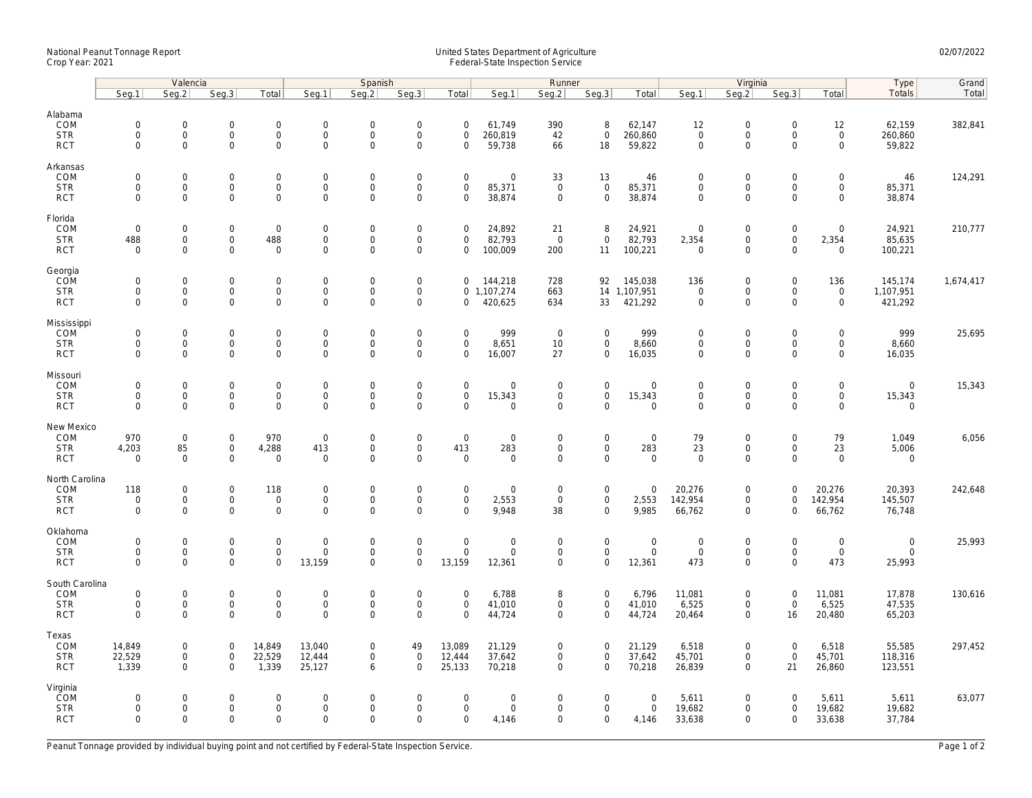## National Peanut Tonnage Report United States Department of Agriculture 02/07/2022 Crop Year: 2021 Federal-State Inspection Service

|                                                   | Valencia                                     |                                                           |                                                   |                                                        | Spanish                                            |                                           |                                                           |                                                   | Runner                                               |                                           |                                                           |                                        | Virginia                                          |                                                                   |                                                   |                                                    | Type                                          | Grand     |
|---------------------------------------------------|----------------------------------------------|-----------------------------------------------------------|---------------------------------------------------|--------------------------------------------------------|----------------------------------------------------|-------------------------------------------|-----------------------------------------------------------|---------------------------------------------------|------------------------------------------------------|-------------------------------------------|-----------------------------------------------------------|----------------------------------------|---------------------------------------------------|-------------------------------------------------------------------|---------------------------------------------------|----------------------------------------------------|-----------------------------------------------|-----------|
|                                                   | Seq.1                                        | Seg.2                                                     | Seq.3                                             | Total                                                  | Seg.1                                              | Seq.2                                     | Seg.3                                                     | Total                                             | Seg.1                                                | Seq.2                                     | Seq.3                                                     | Total                                  | Seg.1                                             | Seq.2                                                             | Seq.3                                             | Total                                              | Totals                                        | Total     |
| Alabama<br>COM<br><b>STR</b><br><b>RCT</b>        | $\mathbf 0$<br>$\mathbf 0$<br>$\mathbf 0$    | $\mathsf{O}\xspace$<br>$\mathsf{O}\xspace$<br>$\mathbf 0$ | $\mathbf 0$<br>$\mathbf 0$<br>$\mathbf 0$         | $\mathsf{O}\xspace$<br>$\boldsymbol{0}$<br>$\mathbf 0$ | $\mathbf 0$<br>$\mathsf{O}\xspace$<br>$\mathsf{O}$ | $\mathbf 0$<br>$\mathbf 0$<br>$\mathbf 0$ | $\mathsf{O}\xspace$<br>$\mathsf{O}\xspace$<br>$\mathbf 0$ | $\mathsf{O}\xspace$<br>$\mathbf 0$<br>$\mathbf 0$ | 61,749<br>260,819<br>59,738                          | 390<br>42<br>66                           | 8<br>$\mathsf 0$<br>18                                    | 62,147<br>260,860<br>59,822            | 12<br>$\mathbf 0$<br>$\mathsf{O}\xspace$          | $\mathsf{O}\xspace$<br>$\mathsf{O}$<br>$\mathbf 0$                | $\mathsf{O}\xspace$<br>$\mathbf 0$<br>$\mathbf 0$ | 12<br>$\mathsf{O}$<br>$\mathbf{0}$                 | 62,159<br>260,860<br>59,822                   | 382,841   |
| Arkansas<br>COM<br><b>STR</b><br><b>RCT</b>       | $\mathbf 0$<br>$\mathbf 0$<br>$\mathbf 0$    | $\mathbf 0$<br>$\mathbf 0$<br>$\mathbf 0$                 | $\mathbf 0$<br>$\mathbf 0$<br>$\mathbf 0$         | $\mathsf{O}\xspace$<br>$\mathbf{O}$<br>$\mathbf 0$     | $\mathbf 0$<br>$\mathbf 0$<br>$\mathsf 0$          | $\mathbf 0$<br>$\mathbf 0$<br>$\mathbf 0$ | $\mathsf{O}\xspace$<br>$\mathbf 0$<br>$\mathbf 0$         | $\mathbf 0$<br>$\mathbf 0$<br>$\mathbf 0$         | $\mathsf{O}\xspace$<br>85,371<br>38,874              | 33<br>$\mathbf{0}$<br>$\mathbf 0$         | 13<br>$\mathbf 0$<br>$\mathbf 0$                          | 46<br>85,371<br>38,874                 | $\mathbf 0$<br>$\mathbf 0$<br>$\mathbf 0$         | $\mathbf 0$<br>$\mathbf 0$<br>$\mathbf 0$                         | $\mathbf 0$<br>$\mathbf 0$<br>$\mathbf 0$         | $\mathsf{O}\xspace$<br>$\mathbf{0}$<br>$\mathbf 0$ | 46<br>85,371<br>38,874                        | 124,291   |
| Florida<br>COM<br><b>STR</b><br><b>RCT</b>        | $\mathbf 0$<br>488<br>$\Omega$               | $\mathsf{O}\xspace$<br>$\mathsf{O}\xspace$<br>$\Omega$    | $\mathbf 0$<br>$\mathbf 0$<br>$\Omega$            | $\mathbf 0$<br>488<br>$\mathbf 0$                      | $\mathbf 0$<br>$\mathbf 0$<br>$\Omega$             | $\mathbf 0$<br>$\mathsf 0$<br>$\Omega$    | $\mathsf{O}\xspace$<br>$\mathsf{O}\xspace$<br>$\Omega$    | $\mathbf 0$<br>0<br>$\Omega$                      | 24,892<br>82,793<br>100,009                          | 21<br>$\mathbf 0$<br>200                  | 8<br>$\mathbf 0$<br>11                                    | 24,921<br>82,793<br>100,221            | $\mathbf 0$<br>2,354<br>$\Omega$                  | $\mathsf{O}\xspace$<br>$\mathsf{O}\xspace$<br>$\Omega$            | $\mathsf 0$<br>$\mathsf 0$<br>$\Omega$            | $\mathsf{O}\xspace$<br>2,354<br>$\Omega$           | 24,921<br>85,635<br>100,221                   | 210,777   |
| Georgia<br>COM<br><b>STR</b><br><b>RCT</b>        | $\mathbf 0$<br>$\mathbf 0$<br>$\mathbf 0$    | $\mathsf{O}\xspace$<br>$\mathsf{O}\xspace$<br>$\mathbf 0$ | $\mathbf 0$<br>$\mathbf 0$<br>$\mathbf 0$         | $\mathsf{O}\xspace$<br>0<br>$\mathbf{O}$               | $\mathsf{O}$<br>$\mathsf{O}$<br>$\mathbf 0$        | $\mathbf 0$<br>$\mathbf 0$<br>$\mathbf 0$ | $\mathsf{O}\xspace$<br>$\mathsf{O}\xspace$<br>$\mathbf 0$ | 0<br>0                                            | 144,218<br>0 1,107,274<br>420,625                    | 728<br>663<br>634                         | 92<br>33                                                  | 145,038<br>14 1,107,951<br>421,292     | 136<br>$\mathbf 0$<br>$\mathbf 0$                 | $\mathbf 0$<br>$\mathsf{O}\xspace$<br>$\mathbf 0$                 | $\mathsf 0$<br>0<br>$\mathbf 0$                   | 136<br>$\mathsf{O}\xspace$<br>$\mathbf{0}$         | 145,174<br>1,107,951<br>421,292               | 1,674,417 |
| Mississippi<br>COM<br><b>STR</b><br><b>RCT</b>    | $\mathbf 0$<br>$\mathbf 0$<br>$\mathbf 0$    | $\mathbf{0}$<br>$\mathsf{O}\xspace$<br>$\mathbf 0$        | 0<br>$\mathsf{O}\xspace$<br>$\mathbf 0$           | 0<br>$\mathsf{O}$<br>$\mathbf 0$                       | $\mathbf 0$<br>$\mathsf{O}$<br>$\mathbf 0$         | $\mathbf 0$<br>$\mathbf 0$<br>$\mathbf 0$ | $\mathsf{O}\xspace$<br>$\mathsf{O}\xspace$<br>$\mathbf 0$ | $\mathbf 0$<br>$\mathsf 0$<br>$\mathbf 0$         | 999<br>8,651<br>16,007                               | $\overline{0}$<br>10<br>27                | $\mathbf 0$<br>$\mathsf{O}$<br>$\mathbf 0$                | 999<br>8,660<br>16,035                 | $\mathbf 0$<br>$\mathsf{O}\xspace$<br>$\mathbf 0$ | $\mathbf 0$<br>$\mathsf{O}$<br>$\mathbf 0$                        | $\Omega$<br>$\mathbf 0$<br>$\mathbf 0$            | $\mathbf 0$<br>$\mathsf{O}$<br>$\mathbf 0$         | 999<br>8,660<br>16,035                        | 25,695    |
| Missouri<br>COM<br><b>STR</b><br><b>RCT</b>       | $\mathbf 0$<br>$\mathbf 0$<br>$\mathbf 0$    | $\mathbf 0$<br>$\mathbf 0$<br>$\mathsf{O}\xspace$         | $\mathbf 0$<br>$\mathbf 0$<br>$\mathbf 0$         | $\mathbf{0}$<br>$\mathbf 0$<br>$\mathsf{O}\xspace$     | $\mathsf{O}$<br>$\mathsf{O}$<br>$\mathbf 0$        | $\mathbf 0$<br>$\mathsf 0$<br>$\mathbf 0$ | $\mathsf{O}\xspace$<br>$\mathsf{O}\xspace$<br>$\mathbf 0$ | $\mathbf 0$<br>$\mathsf 0$<br>$\Omega$            | $\mathbf 0$<br>15,343<br>$\mathbf 0$                 | $\mathbf 0$<br>0<br>$\mathbf 0$           | $\mathbf 0$<br>$\mathsf{O}\xspace$<br>$\mathbf 0$         | $\mathbf 0$<br>15,343<br>$\mathbf 0$   | $\mathbf 0$<br>$\mathsf{O}\xspace$<br>$\mathbf 0$ | $\mathbf 0$<br>$\mathbf 0$<br>$\mathbf 0$                         | $\Omega$<br>$\mathsf 0$<br>$\mathbf 0$            | $\mathbf 0$<br>$\mathbf 0$<br>$\mathbf 0$          | $\mathbf{0}$<br>15,343<br>$\mathbf 0$         | 15,343    |
| New Mexico<br>COM<br><b>STR</b><br><b>RCT</b>     | 970<br>4,203<br>$\mathbf 0$                  | $\mathsf{O}\xspace$<br>85<br>$\mathbf 0$                  | $\mathbf 0$<br>$\mathbf 0$<br>$\mathbf 0$         | 970<br>4,288<br>$\mathbf 0$                            | $\mathbf 0$<br>413<br>$\mathbf 0$                  | $\mathbf 0$<br>$\mathbf 0$<br>$\mathbf 0$ | $\mathsf{O}\xspace$<br>$\mathsf{O}\xspace$<br>$\mathbf 0$ | $\mathsf 0$<br>413<br>$\mathbf 0$                 | $\mathsf{O}\xspace$<br>283<br>$\mathbf 0$            | $\mathbf 0$<br>$\mathbf 0$<br>$\mathbf 0$ | $\mathbf 0$<br>$\mathsf{O}\xspace$<br>$\mathbf 0$         | $\mathbf 0$<br>283<br>$\mathsf{O}$     | 79<br>23<br>$\mathbf 0$                           | $\mathsf{O}\xspace$<br>$\mathsf{O}\xspace$<br>$\mathsf{O}\xspace$ | $\mathbf 0$<br>$\mathbf 0$<br>$\mathbf 0$         | 79<br>23<br>$\mathbf 0$                            | 1,049<br>5,006<br>$\mathbf 0$                 | 6,056     |
| North Carolina<br>COM<br><b>STR</b><br><b>RCT</b> | 118<br>$\mathbf 0$<br>$\mathbf 0$            | 0<br>$\mathbf 0$<br>$\mathbf 0$                           | $\mathbf 0$<br>$\mathbf 0$<br>$\mathbf 0$         | 118<br>$\mathsf 0$<br>$\mathbf 0$                      | $\boldsymbol{0}$<br>$\mathbf 0$<br>$\mathbf 0$     | $\mathbf 0$<br>$\mathbf 0$<br>$\mathbf 0$ | $\mathsf{O}\xspace$<br>$\mathbf 0$<br>$\mathbf 0$         | $\mathbf 0$<br>$\mathbf 0$<br>$\mathbf 0$         | $\mathbf 0$<br>2,553<br>9,948                        | $\mathbf 0$<br>$\mathbf 0$<br>38          | $\mathsf{O}\xspace$<br>$\mathsf{O}\xspace$<br>$\mathbf 0$ | $\mathbf 0$<br>2,553<br>9,985          | 20,276<br>142,954<br>66,762                       | $\mathsf{O}\xspace$<br>$\mathbf 0$<br>$\mathbf 0$                 | $\overline{0}$<br>$\mathbf 0$<br>$\Omega$         | 20,276<br>142,954<br>66,762                        | 20,393<br>145,507<br>76,748                   | 242,648   |
| Oklahoma<br>COM<br><b>STR</b><br><b>RCT</b>       | $\overline{0}$<br>$\mathbf 0$<br>$\mathbf 0$ | $\mathsf{O}\xspace$<br>$\mathsf{O}\xspace$<br>$\mathbf 0$ | $\mathsf{O}\xspace$<br>$\mathbf 0$<br>$\mathbf 0$ | $\mathsf{O}\xspace$<br>$\mathbf 0$<br>$\mathbf{0}$     | $\mathbf 0$<br>$\mathbf 0$<br>13,159               | $\mathbf 0$<br>$\mathsf 0$<br>$\Omega$    | $\mathsf{O}\xspace$<br>$\mathsf 0$<br>$\mathbf 0$         | $\mathbf 0$<br>$\mathsf 0$<br>13,159              | $\mathsf{O}\xspace$<br>$\mathsf{O}\xspace$<br>12,361 | $\mathbf 0$<br>$\mathbf 0$<br>$\mathbf 0$ | $\mathbf 0$<br>$\mathbf 0$<br>$\mathbf 0$                 | $\mathbf 0$<br>$\mathsf{O}$<br>12,361  | $\mathbf 0$<br>$\mathbf 0$<br>473                 | $\mathsf{O}\xspace$<br>$\mathsf{O}\xspace$<br>$\mathbf 0$         | $\Omega$<br>$\mathsf 0$<br>$\Omega$               | $\mathsf{O}\xspace$<br>$\mathbf 0$<br>473          | $\mathsf{O}$<br>$\mathsf{O}\xspace$<br>25,993 | 25,993    |
| South Carolina<br>COM<br><b>STR</b><br><b>RCT</b> | $\mathbf 0$<br>$\mathbf 0$<br>$\Omega$       | $\mathsf{O}\xspace$<br>$\mathsf{O}\xspace$<br>$\Omega$    | $\mathbf 0$<br>$\mathbf 0$<br>$\Omega$            | $\mathbf 0$<br>$\mathsf{O}\xspace$<br>$\mathbf 0$      | $\mathbf 0$<br>$\mathbf 0$<br>$\Omega$             | $\mathbf 0$<br>$\mathsf 0$<br>$\Omega$    | $\mathsf{O}\xspace$<br>$\mathsf{O}\xspace$<br>$\Omega$    | $\mathbf 0$<br>$\mathsf 0$<br>$\Omega$            | 6,788<br>41,010<br>44,724                            | 8<br>0<br>0                               | $\mathbf 0$<br>$\mathbf 0$<br>$\mathbf{0}$                | 6,796<br>41,010<br>44,724              | 11,081<br>6,525<br>20,464                         | $\mathsf{O}\xspace$<br>$\mathsf{O}\xspace$<br>$\mathbf 0$         | $\mathbf 0$<br>$\mathsf 0$<br>16                  | 11,081<br>6,525<br>20,480                          | 17,878<br>47,535<br>65,203                    | 130,616   |
| Texas<br>COM<br><b>STR</b><br><b>RCT</b>          | 14,849<br>22,529<br>1,339                    | 0<br>$\mathbf 0$<br>$\mathbf{0}$                          | $\mathbf 0$<br>$\mathbf 0$<br>$\mathbf 0$         | 14,849<br>22,529<br>1,339                              | 13,040<br>12,444<br>25,127                         | $\mathbf 0$<br>$\mathbf 0$<br>6           | 49<br>$\mathsf{O}\xspace$<br>$\Omega$                     | 13,089<br>12,444<br>25,133                        | 21,129<br>37,642<br>70,218                           | 0<br>0<br>$\mathbf 0$                     | $\mathbf 0$<br>$\mathsf{O}\xspace$<br>$\mathbf{0}$        | 21,129<br>37,642<br>70,218             | 6,518<br>45,701<br>26,839                         | $\mathbf 0$<br>$\mathbf 0$<br>$\mathbf 0$                         | $\mathbf 0$<br>$\mathbf 0$<br>21                  | 6,518<br>45,701<br>26,860                          | 55,585<br>118,316<br>123,551                  | 297,452   |
| Virginia<br>COM<br><b>STR</b><br><b>RCT</b>       | $\mathbf 0$<br>$\mathbf 0$<br>$\mathbf 0$    | $\mathbf{0}$<br>$\mathsf{O}\xspace$<br>$\mathbf 0$        | 0<br>$\mathbf 0$<br>$\mathbf 0$                   | $\mathbf 0$<br>$\mathsf{O}\xspace$<br>$\mathbf 0$      | $\mathbf 0$<br>$\mathsf{O}$<br>$\mathbf 0$         | $\mathbf 0$<br>$\mathsf 0$<br>$\Omega$    | $\mathbf 0$<br>$\mathsf{O}\xspace$<br>$\mathbf 0$         | $\mathbf 0$<br>$\mathbf 0$<br>$\mathbf 0$         | $\mathbf 0$<br>$\mathsf{O}\xspace$<br>4,146          | 0<br>0<br>0                               | $\mathbf 0$<br>$\mathbf 0$<br>$\mathbf 0$                 | $\overline{0}$<br>$\mathsf 0$<br>4,146 | 5,611<br>19,682<br>33,638                         | $\mathbf 0$<br>$\mathsf{O}\xspace$<br>$\mathbf 0$                 | $\Omega$<br>$\mathbf 0$<br>$\mathbf 0$            | 5,611<br>19,682<br>33,638                          | 5,611<br>19,682<br>37,784                     | 63,077    |

Peanut Tonnage provided by individual buying point and not certified by Federal-State Inspection Service. Page 1 of 2